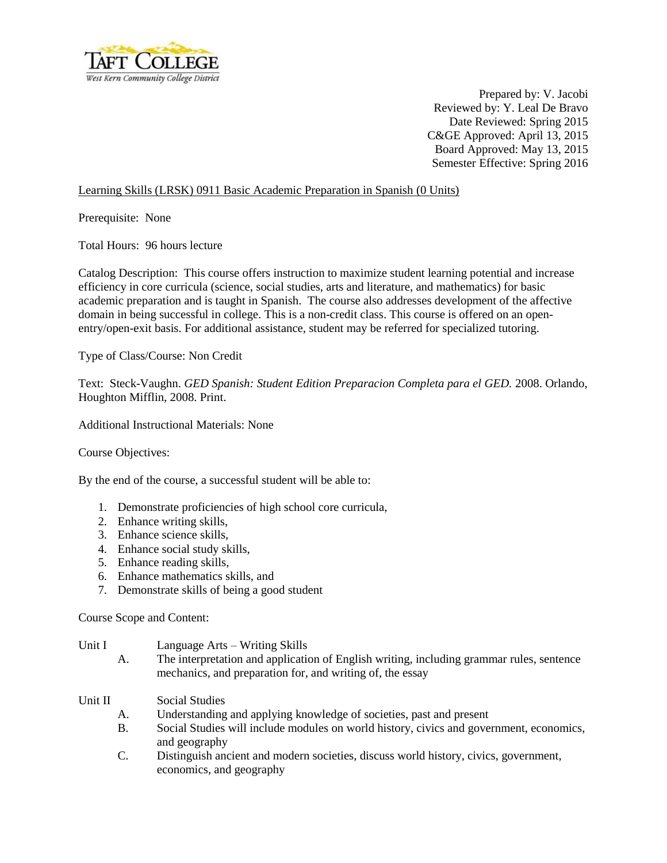

Prepared by: V. Jacobi Reviewed by: Y. Leal De Bravo Date Reviewed: Spring 2015 C&GE Approved: April 13, 2015 Board Approved: May 13, 2015 Semester Effective: Spring 2016

## Learning Skills (LRSK) 0911 Basic Academic Preparation in Spanish (0 Units)

Prerequisite: None

Total Hours: 96 hours lecture

Catalog Description: This course offers instruction to maximize student learning potential and increase efficiency in core curricula (science, social studies, arts and literature, and mathematics) for basic academic preparation and is taught in Spanish. The course also addresses development of the affective domain in being successful in college. This is a non-credit class. This course is offered on an openentry/open-exit basis. For additional assistance, student may be referred for specialized tutoring.

Type of Class/Course: Non Credit

Text: Steck-Vaughn. *GED Spanish: Student Edition Preparacion Completa para el GED.* 2008. Orlando, Houghton Mifflin, 2008. Print.

Additional Instructional Materials: None

Course Objectives:

By the end of the course, a successful student will be able to:

- 1. Demonstrate proficiencies of high school core curricula,
- 2. Enhance writing skills,
- 3. Enhance science skills,
- 4. Enhance social study skills,
- 5. Enhance reading skills,
- 6. Enhance mathematics skills, and
- 7. Demonstrate skills of being a good student

Course Scope and Content:

- Unit I Language Arts Writing Skills
	- A. The interpretation and application of English writing, including grammar rules, sentence mechanics, and preparation for, and writing of, the essay
- Unit II Social Studies
	- A. Understanding and applying knowledge of societies, past and present
	- B. Social Studies will include modules on world history, civics and government, economics, and geography
	- C. Distinguish ancient and modern societies, discuss world history, civics, government, economics, and geography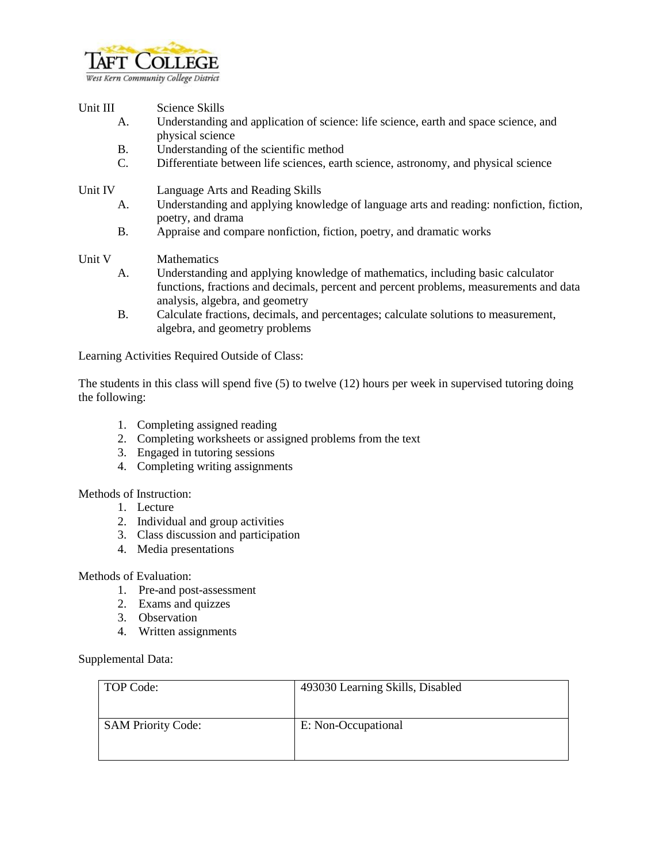

- Unit III Science Skills
	- A. Understanding and application of science: life science, earth and space science, and physical science
	- B. Understanding of the scientific method
	- C. Differentiate between life sciences, earth science, astronomy, and physical science

Unit IV Language Arts and Reading Skills

- A. Understanding and applying knowledge of language arts and reading: nonfiction, fiction, poetry, and drama
- B. Appraise and compare nonfiction, fiction, poetry, and dramatic works
- Unit V Mathematics
	- A. Understanding and applying knowledge of mathematics, including basic calculator functions, fractions and decimals, percent and percent problems, measurements and data analysis, algebra, and geometry
	- B. Calculate fractions, decimals, and percentages; calculate solutions to measurement, algebra, and geometry problems

Learning Activities Required Outside of Class:

The students in this class will spend five (5) to twelve (12) hours per week in supervised tutoring doing the following:

- 1. Completing assigned reading
- 2. Completing worksheets or assigned problems from the text
- 3. Engaged in tutoring sessions
- 4. Completing writing assignments

Methods of Instruction:

- 1. Lecture
- 2. Individual and group activities
- 3. Class discussion and participation
- 4. Media presentations

Methods of Evaluation:

- 1. Pre-and post-assessment
- 2. Exams and quizzes
- 3. Observation
- 4. Written assignments

## Supplemental Data:

| TOP Code:                 | 493030 Learning Skills, Disabled |
|---------------------------|----------------------------------|
| <b>SAM Priority Code:</b> | E: Non-Occupational              |